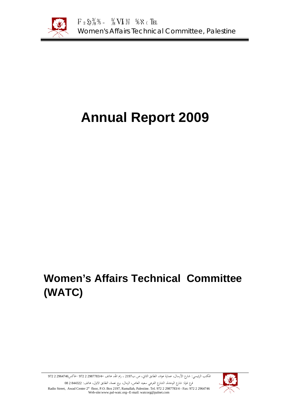

# **Annual Report 2009**

# **Women's Affairs Technical Committee (WATC)**



المكتب الرئيسي: شارع الأرسال، عمارة عواد، الطابق الثاني، ص.ب<sup>2197</sup> ، رام االله، هاتف 2987783/4- 2 972 -فاكس2964746 2 972

فرع غزة: شارع الوحدة، الشارع الفرعي سعيد العاص، الرمال، برج نعمة، الطابق الاول، هاتف: 844322 2 08 Radio Street, Awad Center 2<sup>st</sup> floor, P.O. Box 2197, Ramallah, Palestine. Tel. 972 2 2987783/4 - Fax: 972 2 2964746 Web-site:www.pal-watc.org--E-mail: watcorg@palnet.com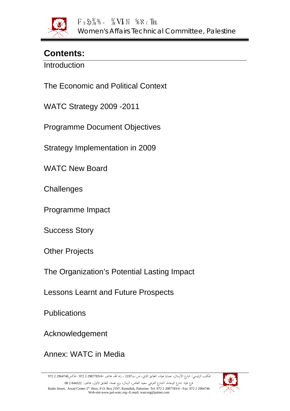

# **Contents:**

**Introduction** 

The Economic and Political Context

WATC Strategy 2009 -2011

Programme Document Objectives

Strategy Implementation in 2009

WATC New Board

**Challenges** 

Programme Impact

Success Story

Other Projects

The Organization's Potential Lasting Impact

Lessons Learnt and Future Prospects

**Publications** 

Acknowledgement

Annex: WATC in Media

المكتب الرئيسي: شارع الأرسال، عمارة عواد، الطابق الثاني، ص.ب<sup>2197</sup> ، رام االله، هاتف 2987783/4- 2 972 -فاكس2964746 2 972

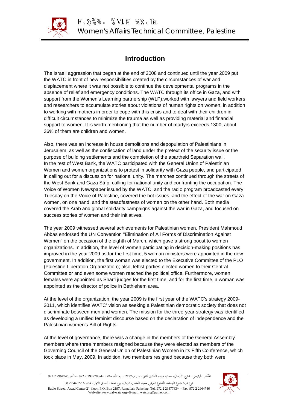

# **Introduction**

The Israeli aggression that began at the end of 2008 and continued until the year 2009 put the WATC in front of new responsibilities created by the circumstances of war and displacement where it was not possible to continue the developmental programs in the absence of relief and emergency conditions. The WATC through its office in Gaza, and with support from the Women's Learning partnership (WLP),worked with lawyers and field workers and researchers to accumulate stories about violations of human rights on women, in addition to working with mothers in order to cope with this crisis and to deal with their children in difficult circumstances to minimize the trauma as well as providing material and financial support to women. It is worth mentioning that the number of martyrs exceeds 1300, about 36% of them are children and women.

Also, there was an increase in house demolitions and depopulation of Palestinians in Jerusalem, as well as the confiscation of land under the pretext of the security issue or the purpose of building settlements and the completion of the apartheid Separation wall. In the rest of West Bank, the WATC participated with the General Union of Palestinian Women and women organizations to protest in solidarity with Gaza people, and participated in calling out for a discussion for national unity. The marches continued through the streets of the West Bank and Gaza Strip, calling for national unity and confronting the occupation. The Voice of Women Newspaper issued by the WATC, and the radio program broadcasted every Tuesday on the Voice of Palestine, covered the hot issues, and the effect of the war on Gaza women, on one hand, and the steadfastness of women on the other hand. Both media covered the Arab and global solidarity campaigns against the war in Gaza, and focused on success stories of women and their initiatives.

The year 2009 witnessed several achievements for Palestinian women. President Mahmoud Abbas endorsed the UN Convention "Elimination of All Forms of Discrimination Against Women" on the occasion of the eighth of March, which gave a strong boost to women organizations. In addition, the level of women participating in decision-making positions has improved in the year 2009 as for the first time, 5 woman ministers were appointed in the new government. In addition, the first woman was elected to the Executive Committee of the PLO (Palestine Liberation Organization); also, leftist parties elected women to their Central Committee or and even some women reached the political office. Furthermore, women females were appointed as Shar'i judges for the first time, and for the first time, a woman was appointed as the director of police in Bethlehem area.

At the level of the organization, the year 2009 is the first year of the WATC's strategy 2009- 2011, which identifies WATC' vision as seeking a Palestinian democratic society that does not discriminate between men and women. The mission for the three-year strategy was identified as developing a unified feminist discourse based on the declaration of independence and the Palestinian women's Bill of Rights.

At the level of governance, there was a change in the members of the General Assembly members where three members resigned because they were elected as members of the Governing Council of the General Union of Palestinian Women in its Fifth Conference, which took place in May, 2009. In addition, two members resigned because they both were

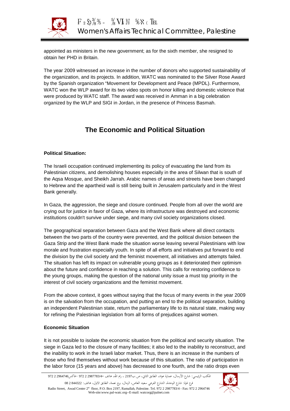

appointed as ministers in the new government; as for the sixth member, she resigned to obtain her PHD in Britain.

The year 2009 witnessed an increase in the number of donors who supported sustainability of the organization, and its projects. In addition, WATC was nominated to the Silver Rose Award by the Spanish organization "Movement for Development and Peace (MPDL). Furthermore, WATC won the WLP award for its two video spots on honor killing and domestic violence that were produced by WATC staff. The award was received in Amman in a big celebration organized by the WLP and SIGI in Jordan, in the presence of Princess Basmah.

# **The Economic and Political Situation**

## **Political Situation:**

The Israeli occupation continued implementing its policy of evacuating the land from its Palestinian citizens, and demolishing houses especially in the area of Silwan that is south of the Aqsa Mosque, and Sheikh Jarrah. Arabic names of areas and streets have been changed to Hebrew and the apartheid wall is still being built in Jerusalem particularly and in the West Bank generally.

In Gaza, the aggression, the siege and closure continued. People from all over the world are crying out for justice in favor of Gaza, where its infrastructure was destroyed and economic institutions couldn't survive under siege, and many civil society organizations closed.

The geographical separation between Gaza and the West Bank where all direct contacts between the two parts of the country were prevented, and the political division between the Gaza Strip and the West Bank made the situation worse leaving several Palestinians with low morale and frustration especially youth. In spite of all efforts and initiatives put forward to end the division by the civil society and the feminist movement, all initiatives and attempts failed. The situation has left its impact on vulnerable young groups as it deteriorated their optimism about the future and confidence in reaching a solution. This calls for restoring confidence to the young groups, making the question of the national unity issue a must top priority in the interest of civil society organizations and the feminist movement.

From the above context, it goes without saying that the focus of many events in the year 2009 is on the salvation from the occupation, and putting an end to the political separation, building an independent Palestinian state, return the parliamentary life to its natural state, making way for refining the Palestinian legislation from all forms of prejudices against women.

### **Economic Situation**

It is not possible to isolate the economic situation from the political and security situation. The siege in Gaza led to the closure of many facilities; it also led to the inability to reconstruct, and the inability to work in the Israeli labor market. Thus, there is an increase in the numbers of those who find themselves without work because of this situation. The ratio of participation in the labor force (15 years and above) has decreased to one fourth, and the ratio drops even

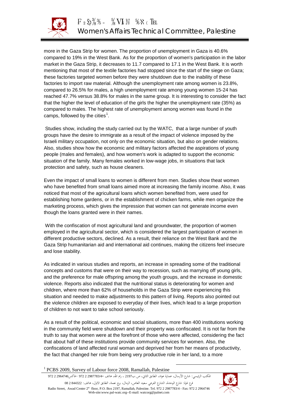

more in the Gaza Strip for women. The proportion of unemployment in Gaza is 40.6% compared to 19% in the West Bank. As for the proportion of women's participation in the labor market in the Gaza Strip, it decreases to 11.7 compared to 17.1 in the West Bank. It is worth mentioning that most of the textile factories had stopped since the start of the siege on Gaza; these factories targeted women before they were shutdown due to the inability of these factories to import raw material. Although the unemployment rate among women is 23.8%, compared to 26.5% for males, a high unemployment rate among young women 15-24 has reached 47.7% versus 38.8% for males in the same group. It is interesting to consider the fact that the higher the level of education of the girls the higher the unemployment rate (35%) as compared to males. The highest rate of unemployment among women was found in the camps, followed by the cities<sup>1</sup>.

Studies show, including the study carried out by the WATC, that a large number of youth groups have the desire to immigrate as a result of the impact of violence imposed by the Israeli military occupation, not only on the economic situation, but also on gender relations. Also, studies show how the economic and military factors affected the aspirations of young people (males and females), and how women's work is adapted to support the economic situation of the family. Many females worked in low-wage jobs, in situations that lack protection and safety, such as house cleaners.

Even the impact of small loans to women is different from men. Studies show theat women who have benefited from small loans aimed more at increasing the family income. Also, it was noticed that most of the agricultural loans which women benefited from, were used for establishing home gardens, or in the establishment of chicken farms, while men organize the marketing process, which gives the impression that women can not generate income even though the loans granted were in their names.

With the confiscation of most agricultural land and groundwater, the proportion of women employed in the agricultural sector, which is considered the largest participation of women in different productive sectors, declined. As a result, their reliance on the West Bank and the Gaza Strip humanitarian aid and international aid continues, making the citizens feel insecure and lose stability.

As indicated in various studies and reports, an increase in spreading some of the traditional concepts and customs that were on their way to recession, such as marrying off young girls, and the preference for male offspring among the youth groups, and the increase in domestic violence. Reports also indicated that the nutritional status is deteriorating for women and children, where more than 62% of households in the Gaza Strip were experiencing this situation and needed to make adjustments to this pattern of living. Reports also pointed out the violence children are exposed to everyday of their lives, which lead to a large proportion of children to not want to take school seriously.

As a result of the political, economic and social situations, more than 400 institutions working in the community field were shutdown and their property was confiscated. It is not far from the truth to say that women were at the forefront of those who were affected, considering the fact that about half of these institutions provide community services for women. Also, the confiscations of land affected rural woman and deprived her from her means of productivity, the fact that changed her role from being very productive role in her land, to a more

المكتب الرئيسي: شارع الأرسال، عمارة عواد، الطابق الثاني، ص.ب<sup>2197</sup> ، رام االله، هاتف 2987783/4- 2 972 -فاكس2964746 2 972 فرع غزة: شارع الوحدة، الشارع الفرعي سعيد العاص، الرمال، برج نعمة، الطابق الاول، هاتف: 844322 2 08 Radio Street, Awad Center 2st floor, P.O. Box 2197, Ramallah, Palestine. Tel. 972 2 2987783/4 - Fax: 972 2 2964746 Web-site:www.pal-watc.org--E-mail: watcorg@palnet.com



 <sup>1</sup> PCBS 2009, Survey of Labour force 2008, Ramallah, Palestine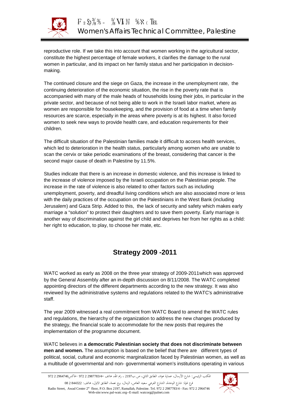

reproductive role. If we take this into account that women working in the agricultural sector, constitute the highest percentage of female workers, it clarifies the damage to the rural women in particular, and its impact on her family status and her participation in decisionmaking.

The continued closure and the siege on Gaza, the increase in the unemployment rate, the continuing deterioration of the economic situation, the rise in the poverty rate that is accompanied with many of the male heads of households losing their jobs, in particular in the private sector, and because of not being able to work in the Israeli labor market, where as women are responsible for housekeeping, and the provision of food at a time when family resources are scarce, especially in the areas where poverty is at its highest. It also forced women to seek new ways to provide health care, and education requirements for their children.

The difficult situation of the Palestinian families made it difficult to access health services, which led to deterioration in the health status, particularly among women who are unable to scan the cervix or take periodic examinations of the breast, considering that cancer is the second major cause of death in Palestine by 11.5%.

Studies indicate that there is an increase in domestic violence, and this increase is linked to the increase of violence imposed by the Israeli occupation on the Palestinian people. The increase in the rate of violence is also related to other factors such as including unemployment, poverty, and dreadful living conditions which are also associated more or less with the daily practices of the occupation on the Palestinians in the West Bank (including Jerusalem) and Gaza Strip. Added to this, the lack of security and safety which makes early marriage a "solution" to protect their daughters and to save them poverty. Early marriage is another way of discrimination against the girl child and deprives her from her rights as a child: her right to education, to play, to choose her mate, etc.

# **Strategy 2009 -2011**

WATC worked as early as 2008 on the three year strategy of 2009-2011which was approved by the General Assembly after an in-depth discussion on 8/11/2008. The WATC completed appointing directors of the different departments according to the new strategy. It was also reviewed by the administrative systems and regulations related to the WATC's administrative staff.

The year 2009 witnessed a real commitment from WATC Board to amend the WATC rules and regulations, the hierarchy of the organization to address the new changes produced by the strategy, the financial scale to accommodate for the new posts that requires the implementation of the programme document.

WATC believes in **a democratic Palestinian society that does not discriminate between men and women.** The assumption is based on the belief that there are different types of political, social, cultural and economic marginalization faced by Palestinian women, as well as a multitude of governmental and non- governmental women's institutions operating in various

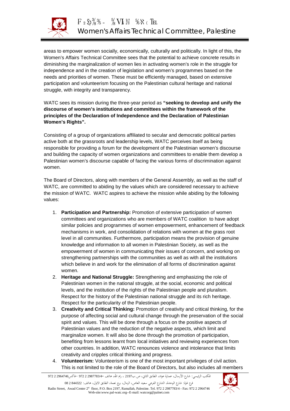

areas to empower women socially, economically, culturally and politically. In light of this, the Women's Affairs Technical Committee sees that the potential to achieve concrete results in diminishing the marginalization of women lies in activating women's role in the struggle for independence and in the creation of legislation and women's programmes based on the needs and priorities of women. These must be efficiently managed, based on extensive participation and volunteerism focusing on the Palestinian cultural heritage and national struggle, with integrity and transparency.

WATC sees its mission during the three-year period as **"seeking to develop and unify the discourse of women's institutions and committees within the framework of the principles of the Declaration of Independence and the Declaration of Palestinian Women's Rights".**

Consisting of a group of organizations affiliated to secular and democratic political parties active both at the grassroots and leadership levels, WATC perceives itself as being responsible for providing a forum for the development of the Palestinian women's discourse and building the capacity of women organizations and committees to enable them develop a Palestinian women's discourse capable of facing the various forms of discrimination against women.

The Board of Directors, along with members of the General Assembly, as well as the staff of WATC, are committed to abiding by the values which are considered necessary to achieve the mission of WATC. WATC aspires to achieve the mission while abiding by the following values:

- 1. **Participation and Partnership:** Promotion of extensive participation of women committees and organizations who are members of WATC coalition to have adopt similar policies and programmes of women empowerment, enhancement of feedback mechanisms in work, and consolidation of relations with women at the grass root level in all communities. Furthermore, participation means the provision of genuine knowledge and information to all women in Palestinian Society, as well as the empowerment of women in communicating their issues of concern, and working on strengthening partnerships with the communities as well as with all the institutions which believe in and work for the elimination of all forms of discrimination against women.
- 2. **Heritage and National Struggle:** Strengthening and emphasizing the role of Palestinian women in the national struggle, at the social, economic and political levels, and the institution of the rights of the Palestinian people and pluralism. Respect for the history of the Palestinian national struggle and its rich heritage. Respect for the particularity of the Palestinian people.
- 3. **Creativity and Critical Thinking:** Promotion of creativity and critical thinking, for the purpose of affecting social and cultural change through the preservation of the social spirit and values. This will be done through a focus on the positive aspects of Palestinian values and the reduction of the negative aspects, which limit and marginalize women. It will also be done through the promotion of participation, benefiting from lessons learnt from local initiatives and reviewing experiences from other countries. In addition, WATC renounces violence and intolerance that limits creativity and cripples critical thinking and progress.
- 4. **Volunteerism:** Volunteerism is one of the most important privileges of civil action. This is not limited to the role of the Board of Directors, but also includes all members

Web-site:www.pal-watc.org--E-mail: watcorg@palnet.com

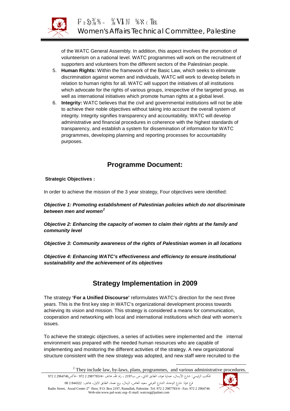

of the WATC General Assembly. In addition, this aspect involves the promotion of volunteerism on a national level. WATC programmes will work on the recruitment of supporters and volunteers from the different sectors of the Palestinian people.

- 5. **Human Rights:** Within the framework of the Basic Law, which seeks to eliminate discrimination against women and individuals, WATC will work to develop beliefs in relation to human rights for all. WATC will support the initiatives of all institutions which advocate for the rights of various groups, irrespective of the targeted group, as well as international initiatives which promote human rights at a global level.
- 6. **Integrity:** WATC believes that the civil and governmental institutions will not be able to achieve their noble objectives without taking into account the overall system of integrity. Integrity signifies transparency and accountability. WATC will develop administrative and financial procedures in coherence with the highest standards of transparency, and establish a system for dissemination of information for WATC programmes, developing planning and reporting processes for accountability purposes.

# **Programme Document:**

## **Strategic Objectives :**

In order to achieve the mission of the 3 year strategy, Four objectives were identified:

*Objective 1: Promoting establishment of Palestinian policies which do not discriminate*  between men and women<sup>2</sup>

*Objective 2: Enhancing the capacity of women to claim their rights at the family and community level*

*Objective 3: Community awareness of the rights of Palestinian women in all locations*

*Objective 4: Enhancing WATC's effectiveness and efficiency to ensure institutional sustainability and the achievement of its objectives*

# **Strategy Implementation in 2009**

The strategy **'For a Unified Discourse'** reformulates WATC's direction for the next three years. This is the first key step in WATC's organizational development process towards achieving its vision and mission. This strategy is considered a means for communication, cooperation and networking with local and international institutions which deal with women's issues.

To achieve the strategic objectives, a series of activities were implemented and the internal environment was prepared with the needed human resources who are capable of implementing and monitoring the different activities of the strategy. A new organizational structure consistent with the new strategy was adopted, and new staff were recruited to the

المكتب الرئيسي: شارع الأرسال، عمارة عواد، الطابق الثاني، ص.ب<sup>2197</sup> ، رام االله، هاتف 2987783/4- 2 972 -فاكس2964746 2 972 فرع غزة: شارع الوحدة، الشارع الفرعي سعيد العاص، الرمال، برج نعمة، الطابق الاول، هاتف: 844322 2 08 Radio Street, Awad Center 2st floor, P.O. Box 2197, Ramallah, Palestine. Tel. 972 2 2987783/4 - Fax: 972 2 2964746 Web-site:www.pal-watc.org--E-mail: watcorg@palnet.com



<sup>&</sup>lt;sup>2</sup> They include law, by-laws, plans, programmes, and various administrative procedures.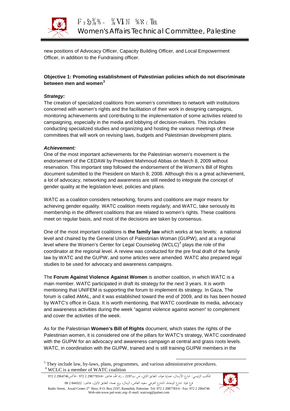

new positions of Advocacy Officer, Capacity Building Officer, and Local Empowerment Officer, in addition to the Fundraising officer.

## **Objective 1: Promoting establishment of Palestinian policies which do not discriminate**  between men and women<sup>3</sup>

## *Strategy:*

The creation of specialized coalitions from women's committees to network with institutions concerned with women's rights and the facilitation of their work in designing campaigns, monitoring achievements and contributing to the implementation of some activities related to campaigning, especially in the media and lobbying of decision-makers. This includes conducting specialized studies and organizing and hosting the various meetings of these committees that will work on revising laws, budgets and Palestinian development plans.

### *Achievement:*

One of the most important achievements for the Palestinian women's movement is the endorsement of the CEDAW by President Mahmoud Abbas on March 8, 2009 without reservation. This important step followed the endorsement of the Women's Bill of Rights document submitted to the President on March 8, 2008. Although this is a great achievement, a lot of advocacy, networking and awareness are still needed to integrate the concept of gender quality at the legislation level, policies and plans.

WATC as a coalition considers networking, forums and coalitions are major means for achieving gender equality. WATC coalition meets regularly; and WATC, take seriously its membership in the different coalitions that are related to women's rights. These coalitions meet on regular basis, and most of the decisions are taken by consensus.

One of the most important coalitions is **the family law** which works at two levels: a national level and chaired by the General Union of Palestinian Woman (GUPW), and at a regional level where the Women's Center for Legal Counseling (WCLC)<sup>4</sup> plays the role of the coordinator at the regional level. A review was conducted for the pre final draft of the family law by WATC and the GUPW, and some articles were amended. WATC also prepared legal studies to be used for advocacy and awareness campaigns.

The **Forum Against Violence Against Women** is another coalition, in which WATC is a main member. WATC participated in draft its strategy for the next 3 years. It is worth mentioning that UNIFEM is supporting the forum to implement its strategy. In Gaza, The forum is called AMAL, and it was established toward the end of 2009, and its has been hosted by WATC's office in Gaza. It is worth mentioning, that WATC coordinate its media, advocacy and awareness activities during the week "against violence against women" to complement and cover the activities of the week.

As for the Palestinian **Women's Bill of Rights** document, which states the rights of the Palestinian women, it is considered one of the pillars for WATC's strategy, WATC coordinated with the GUPW for an advocacy and awareness campaign at central and grass roots levels. WATC, in coordination with the GUPW, trained and is still training GUPW members in the

 $3$  They include law, by-laws, plans, programmes, and various administrative procedures.  $4$  WCLC is a member of WATC coalition

المكتب الرئيسي: شارع الأرسال، عمارة عواد، الطابق الثاني، ص.ب<sup>2197</sup> ، رام االله، هاتف 2987783/4- 2 972 -فاكس2964746 2 972 فرع غزة: شارع الوحدة، الشارع الفرعي سعيد العاص، الرمال، برج نعمة، الطابق الاول، هاتف: 844322 2 08 Radio Street, Awad Center 2st floor, P.O. Box 2197, Ramallah, Palestine. Tel. 972 2 2987783/4 - Fax: 972 2 2964746 Web-site:www.pal-watc.org--E-mail: watcorg@palnet.com

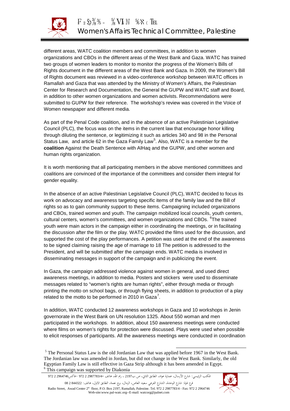

different areas, WATC coalition members and committees, in addition to women organizations and CBOs in the different areas of the West Bank and Gaza. WATC has trained two groups of women leaders to monitor to monitor the progress of the Women's Bills of Rights document in the different areas of the West Bank and Gaza. In 2009, the Women's Bill of Rights document was reviewed in a video-conference workshop between WATC offices in Ramallah and Gaza that was attended by the Ministry of Women's Affairs, the Palestinian Center for Research and Documentation, the General the GUPW and WATC staff and Board, in addition to other women organizations and women activists. Recommendations were submitted to GUPW for their reference. The workshop's review was covered in the Voice of Women newspaper and different media.

As part of the Penal Code coalition, and in the absence of an active Palestinian Legislative Council (PLC), the focus was on the items in the current law that encourage honor killing through diluting the sentence, or legitimizing it such as articles 340 and 98 in the Personal Status Law, and article 62 in the Gaza Family Law<sup>5</sup>. Also, WATC is a member for the **coalition** Against the Death Sentence with AlHaq and the GUPW, and other women and human rights organization.

It is worth mentioning that all participating members in the above mentioned committees and coalitions are convinced of the importance of the committees and consider them integral for gender equality.

In the absence of an active Palestinian Legislative Council (PLC), WATC decided to focus its work on advocacy and awareness targeting specific items of the family law and the Bill of rights so as to gain community support to these items. Campaigning included organizations and CBOs, trained women and youth. The campaign mobilized local councils, youth centers, cultural centers, women's committees, and women organizations and CBOs. <sup>6</sup>The trained youth were main actors in the campaign either in coordinating the meetings, or in facilitating the discussion after the film or the play. WATC provided the films used for the discussion, and supported the cost of the play performances. A petition was used at the end of the awareness to be signed claiming raising the age of marriage to 18 The petition is addressed to the President, and will be submitted after the campaign ends. WATC media is involved in disseminating messages in support of the campaign and in publicizing the event.

In Gaza, the campaign addressed violence against women in general, and used direct awareness meetings, in addition to media. Posters and stickers were used to disseminate messages related to "women's rights are human rights", either through media or through printing the motto on school bags, or through flying sheets, in addition to production of a play related to the motto to be performed in 2010 in Gaza<sup>7</sup>.

In addition, WATC conducted 12 awareness workshops in Gaza and 10 workshops in Jenin governorate in the West Bank on UN resolution 1325. About 550 woman and men participated in the workshops. In addition, about 150 awareness meetings were conducted where films on women's rights for protection were discussed. Plays were used when possible to elicit responses of participants. All the awareness meetings were conducted in coordination

فرع غزة: شارع الوحدة، الشارع الفرعي سعيد العاص، الرمال، برج نعمة، الطابق الاول، هاتف: 844322 2 08 Radio Street, Awad Center 2st floor, P.O. Box 2197, Ramallah, Palestine. Tel. 972 2 2987783/4 - Fax: 972 2 2964746 Web-site:www.pal-watc.org--E-mail: watcorg@palnet.com



<sup>&</sup>lt;sup>5</sup> The Personal Status Law is the old Jordanian Law that was applied before 1967 in the West Bank. The Jordanian law was amended in Jordan, but did not change in the West Bank. Similarly, the old Egyptian Family Law is still effective in Gaza Strip although it has been amended in Egypt. <sup>6</sup> This campaign was supported by Diakonia

المكتب الرئيسي: شارع الأرسال، عمارة عواد، الطابق الثاني، ص.ب<sup>2197</sup> ، رام االله، هاتف 2987783/4- 2 972 -فاكس2964746 2 972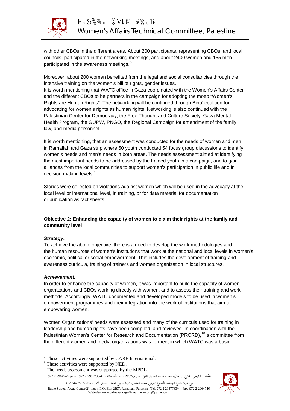

with other CBOs in the different areas. About 200 participants, representing CBOs, and local councils, participated in the networking meetings, and about 2400 women and 155 men participated in the awareness meetings.<sup>8</sup>

Moreover, about 200 women benefited from the legal and social consultancies through the intensive training on the women's bill of rights, gender issues.

It is worth mentioning that WATC office in Gaza coordinated with the Women's Affairs Center and the different CBOs to be partners in the campaign for adopting the motto "Women's Rights are Human Rights". The networking will be continued through Bina' coalition for advocating for women's rights as human rights. Networking is also continued with the Palestinian Center for Democracy, the Free Thought and Culture Society, Gaza Mental Health Program, the GUPW, PNGO, the Regional Campaign for amendment of the family law, and media personnel.

It is worth mentioning, that an assessment was conducted for the needs of women and men in Ramallah and Gaza strip where 50 youth conducted 54 focus group discussions to identify women's needs and men's needs in both areas. The needs assessment aimed at identifying the most important needs to be addressed by the trained youth in a campaign, and to gain alliances from the local communities to support women's participation in public life and in decision making levels<sup>9</sup>.

Stories were collected on violations against women which will be used in the advocacy at the local level or international level, in training, or for data material for documentation or publication as fact sheets.

## **Objective 2: Enhancing the capacity of women to claim their rights at the family and community level**

### *Strategy:*

To achieve the above objective, there is a need to develop the work methodologies and the human resources of women's institutions that work at the national and local levels in women's economic, political or social empowerment. This includes the development of training and awareness curricula, training of trainers and women organization in local structures.

### *Achievement:*

In order to enhance the capacity of women, it was important to build the capacity of women organizations and CBOs working directly with women, and to assess their training and work methods. Accordingly, WATC documented and developed models to be used in women's empowerment programmes and their integration into the work of institutions that aim at empowering women.

Women Organizations' needs were assessed and many of the curricula used for training in leadership and human rights have been compiled, and reviewed. In coordination with the Palestinian Woman's Center for Research and Documentation (PRCRD),<sup>10</sup> a committee from the different women and media organizations was formed, in which WATC was a basic

المكتب الرئيسي: شارع الأرسال، عمارة عواد، الطابق الثاني، ص.ب<sup>2197</sup> ، رام االله، هاتف 2987783/4- 2 972 -فاكس2964746 2 972

فرع غزة: شارع الوحدة، الشارع الفرعي سعيد العاص، الرمال، برج نعمة، الطابق الاول، هاتف: 844322 2 08 Radio Street, Awad Center 2st floor, P.O. Box 2197, Ramallah, Palestine. Tel. 972 2 2987783/4 - Fax: 972 2 2964746 Web-site:www.pal-watc.org--E-mail: watcorg@palnet.com



 $7$  These activities were supported by CARE International.

<sup>&</sup>lt;sup>8</sup> These activities were supported by NED.

<sup>&</sup>lt;sup>9</sup> The needs assessment was supported by the MPDL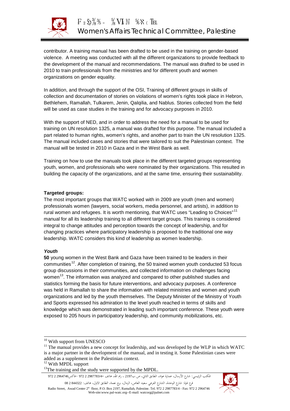

contributor. A training manual has been drafted to be used in the training on gender-based violence. A meeting was conducted with all the different organizations to provide feedback to the development of the manual and recommendations. The manual was drafted to be used in 2010 to train professionals from the ministries and for different youth and women organizations on gender equality.

In addition, and through the support of the OSI, Training of different groups in skills of collection and documentation of stories on violations of women's rights took place in Hebron, Bethlehem, Ramallah, Tulkarem, Jenin, Qalqilia, and Nablus. Stories collected from the field will be used as case studies in the training and for advocacy purposes in 2010.

With the support of NED, and in order to address the need for a manual to be used for training on UN resolution 1325, a manual was drafted for this purpose. The manual included a part related to human rights, women's rights, and another part to train the UN resolution 1325. The manual included cases and stories that were tailored to suit the Palestinian context. The manual will be tested in 2010 in Gaza and in the West Bank as well.

Training on how to use the manuals took place in the different targeted groups representing youth, women, and professionals who were nominated by their organizations. This resulted in building the capacity of the organizations, and at the same time, ensuring their sustainability.

## **Targeted groups:**

The most important groups that WATC worked with in 2009 are youth (men and women) professionals women (lawyers, social workers, media personnel, and artists), in addition to rural women and refugees. It is worth mentioning, that WATC uses "Leading to Choices"<sup>11</sup> manual for all its leadership training to all different target groups. This training is considered integral to change attitudes and perception towards the concept of leadership, and for changing practices where participatory leadership is proposed to the traditional one way leadership. WATC considers this kind of leadership as women leadership.

### *Youth*

**50** young women in the West Bank and Gaza have been trained to be leaders in their communities<sup>12</sup>. After completion of training, the 50 trained women youth conducted 53 focus group discussions in their communities, and collected information on challenges facing women<sup>13</sup>. The information was analyzed and compared to other published studies and statistics forming the basis for future interventions, and advocacy purposes. A conference was held in Ramallah to share the information with related ministries and women and youth organizations and led by the youth themselves. The Deputy Minister of the Ministry of Youth and Sports expressed his admiration to the level youth reached in terms of skills and knowledge which was demonstrated in leading such important conference. These youth were exposed to 205 hours in participatory leadership, and community mobilizations, etc.

المكتب الرئيسي: شارع الأرسال، عمارة عواد، الطابق الثاني، ص.ب<sup>2197</sup> ، رام االله، هاتف 2987783/4- 2 972 -فاكس2964746 2 972 فرع غزة: شارع الوحدة، الشارع الفرعي سعيد العاص، الرمال، برج نعمة، الطابق الاول، هاتف: 844322 2 08

Radio Street, Awad Center 2st floor, P.O. Box 2197, Ramallah, Palestine. Tel. 972 2 2987783/4 - Fax: 972 2 2964746 Web-site:www.pal-watc.org--E-mail: watcorg@palnet.com



<sup>&</sup>lt;sup>10</sup> With support from UNESCO  $11$  The manual provides a new concept for leadership, and was developed by the WLP in which WATC is a major partner in the development of the manual, and in testing it. Some Palestinian cases were added as a supplement in the Palestinian context.<br> $12$  With MPDL support

 $13$ The training and the study were supported by the MPDL.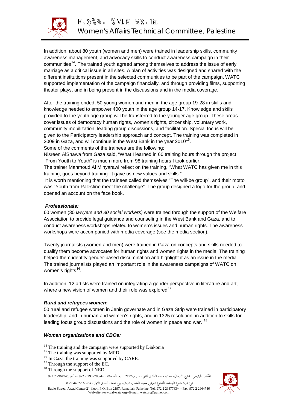

In addition, about 80 youth (women and men) were trained in leadership skills, community awareness management, and advocacy skills to conduct awareness campaign in their communities<sup>14</sup>. The trained youth agreed among themselves to address the issue of early marriage as a critical issue in all sites. A plan of activities was designed and shared with the different institutions present in the selected communities to be part of the campaign. WATC supported implementation of the campaign financially, and through providing films, supporting theater plays, and in being present in the discussions and in the media coverage.

After the training ended, 50 young women and men in the age group 19-28 in skills and knowledge needed to empower 400 youth in the age group 14-17. Knowledge and skills provided to the youth age group will be transferred to the younger age group. These areas cover issues of democracy human rights, women's rights, citizenship, voluntary work, community mobilization, leading group discussions, and facilitation. Special focus will be given to the Participatory leadership approach and concept. The training was completed in 2009 in Gaza, and will continue in the West Bank in the year 2010<sup>15</sup>.

Some of the comments of the trainees are the following:

Nisreen AlShawa from Gaza said, "What I learned in 60 training hours through the project "From Youth to Youth" is much more from 98 training hours I took earlier.

The trainer Mahmoud Al Minyarawi reflect on the training, "What WATC has given me in this training, goes beyond training. It gave us new values and skills."

It is worth mentioning that the trainees called themselves "The will-be group", and their motto was "Youth from Palestine meet the challenge". The group designed a logo for the group, and opened an account on the face book.

## *Professionals:*

60 women (30 *lawyers and 30 social workers)* were trained through the support of the Welfare Association to provide legal guidance and counseling in the West Bank and Gaza, and to conduct awareness workshops related to women's issues and human rights. The awareness workshops were accompanied with media coverage (see the media section).

Twenty journalists (women and men) were trained in Gaza on concepts and skills needed to qualify them become advocates for human rights and women rights in the media. The training helped them identify gender-based discrimination and highlight it as an issue in the media. The trained journalists played an important role in the awareness campaigns of WATC on women's rights<sup>16</sup>.

In addition, 12 artists were trained on integrating a gender perspective in literature and art, where a new vision of women and their role was explored<sup>17</sup>.

### *Rural and refugees women***:**

50 rural and refugee women in Jenin governate and in Gaza Strip were trained in participatory leadership, and in human and women's rights, and in 1325 resolution, in addition to skills for leading focus group discussions and the role of women in peace and war. <sup>18</sup>

### *Women organizations and CBOs:*

<sup>14</sup> The training and the campaign were supported by Diakonia<br><sup>15</sup> The training was supported by MPDL<br><sup>16</sup> In Gaza, the training was supported by CARE.<br><sup>17</sup> Through the support of the EC.<br><sup>18</sup> Through the support of NED

- 
- 
- 
- 

المكتب الرئيسي: شارع الأرسال، عمارة عواد، الطابق الثاني، ص.ب<sup>2197</sup> ، رام االله، هاتف 2987783/4- 2 972 -فاكس2964746 2 972

فرع غزة: شارع الوحدة، الشارع الفرعي سعيد العاص، الرمال، برج نعمة، الطابق الاول، هاتف: 844322 2 08 Radio Street, Awad Center 2<sup>st</sup> floor, P.O. Box 2197, Ramallah, Palestine. Tel. 972 2 2987783/4 - Fax: 972 2 2964746 Web-site:www.pal-watc.org--E-mail: watcorg@palnet.com

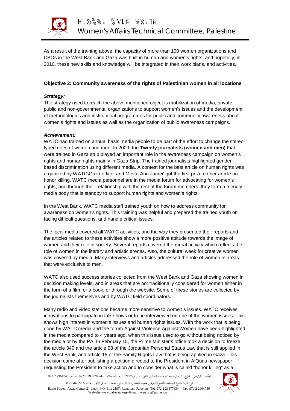

As a result of the training above, the capacity of more than 100 women organizations and CBOs in the West Bank and Gaza was built in human and women's rights, and hopefully, in 2010, these new skills and knowledge will be integrated in their work plans, and activities.

## **Objective 3: Community awareness of the rights of Palestinian women in all locations**

### *Strategy:*

The strategy used to reach the above mentioned object is mobilization of media, private, public and non-governmental organizations to support women's issues and the development of methodologies and institutional programmes for public and community awareness about women's rights and issues as well as the organization of public awareness campaigns.

## *Achievement:*

WATC had trained on annual basis media people to be part of the effort to change the stereo typed roles of women and men. In 2009, the **Twenty journalists (women and men)** that were trained in Gaza strip played an important role in the awareness campaign on women's rights and human rights mainly in Gaza Strip. The trained journalists highlighted genderbased discrimination using different media. A contest for the best article on human rights was organized by WATC\Gaza office, and Mirvat Abu Jamei' got the first prize on her article on honor killing. WATC media personnel are in the media forum for advocating for women's rights, and through their relationship with the rest of the forum members, they form a friendly media body that is standby to support human rights and women's rights.

In the West Bank, WATC media staff trained youth on how to address community for awareness on women's rights. This training was helpful and prepared the trained youth on facing difficult questions, and handle critical issues.

The local media covered all WATC activities, and the way they presented their reports and the articles related to these activities show a more positive attitude towards the image of women and their role in society. Several reports covered the mural activity which reflects the role of women in the literary and artistic arenas. Also, the cultural week for creative women was covered by media. Many interviews and articles addressed the role of women in areas that were exclusive to men.

WATC also used success stories collected from the West Bank and Gaza showing women in decision making levels, and in areas that are not traditionally considered for women either in the form of a film, or a book, or through the website. Some of these stories are collected by the journalists themselves and by WATC field coordinators.

Many radio and video stations became more sensitive to women's issues. WATC receives innovations to participate in talk shows or to be interviewed on one of the women issues. This shows high interest in women's issues and human rights issues. With the work that is being done by WATC media and the forum Against Violence Against Women have been highlighted in the media compared to 4 years ago, when this issue used to go without being noticed by the media or by the PA. In February 15, the Prime Minister's office took a decision to freeze the article 340 and the article 98 of the Jordanian Personal Status Law that is still applied in the West Bank, and article 18 of the Family Rights Law that is being applied in Gaza. This decision came after publishing a petition directed to the President in AlQuds newspaper requesting the President to take action and to consider what is called "honor killing" as a

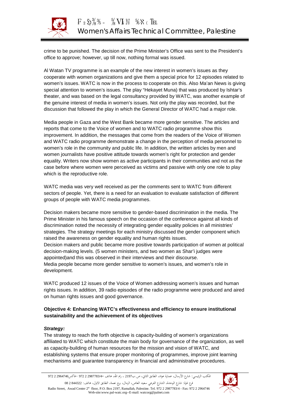

crime to be punished. The decision of the Prime Minister's Office was sent to the President's office to approve; however, up till now, nothing formal was issued.

Al Watan TV programme is an example of the new interest in women's issues as they cooperate with women organizations and give them a special price for 12 episodes related to women's issues. WATC is now in the process to cooperate on this. Also Ma'an News is giving special attention to women's issues. The play "Hekayet Muna) that was produced by Ishtar's theater, and was based on the legal consultancy provided by WATC, was another example of the genuine interest of media in women's issues. Not only the play was recorded, but the discussion that followed the play in which the General Director of WATC had a major role.

Media people in Gaza and the West Bank became more gender sensitive. The articles and reports that come to the Voice of women and to WATC radio programme show this improvement. In addition, the messages that come from the readers of the Voice of Women and WATC radio programme demonstrate a change in the perception of media personnel to women's role in the community and public life. In addition, the written articles by men and women journalists have positive attitude towards women's right for protection and gender equality. Writers now show women as active participants in their communities and not as the case before where women were perceived as victims and passive with only one role to play which is the reproductive role.

WATC media was very well received as per the comments sent to WATC from different sectors of people. Yet, there is a need for an evaluation to evaluate satisfaction of different groups of people with WATC media programmes.

Decision makers became more sensitive to gender-based discrimination in the media. The Prime Minister in his famous speech on the occasion of the conference against all kinds of discrimination noted the necessity of integrating gender equality policies in all ministries' strategies. The strategy meetings for each ministry discussed the gender component which raised the awareness on gender equality and human rights issues. Decision makers and public became more positive towards participation of women at political decision-making levels. (5 women ministers, and two women as Shar'i judges were appointed)and this was observed in their interviews and their discourse. Media people became more gender sensitive to women's issues, and women's role in development.

WATC produced 12 issues of the Voice of Women addressing women's issues and human rights issues. In addition, 39 radio episodes of the radio programme were produced and aired on human rights issues and good governance.

## **Objective 4: Enhancing WATC's effectiveness and efficiency to ensure institutional sustainability and the achievement of its objectives**

### *Strategy:*

The strategy to reach the forth objective is capacity-building of women's organizations affiliated to WATC which constitute the main body for governance of the organization, as well as capacity-building of human resources for the mission and vision of WATC, and establishing systems that ensure proper monitoring of programmes, improve joint learning mechanisms and guarantee transparency in financial and administrative procedures.

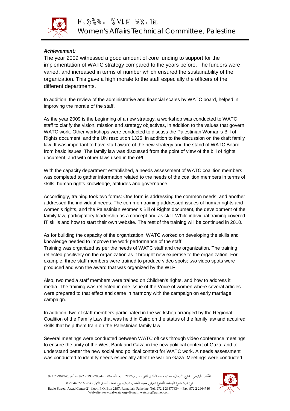

## *Achievement:*

The year 2009 witnessed a good amount of core funding to support for the implementation of WATC strategy compared to the years before. The funders were varied, and increased in terms of number which ensured the sustainability of the organization. This gave a high morale to the staff especially the officers of the different departments.

In addition, the review of the administrative and financial scales by WATC board, helped in improving the morale of the staff.

As the year 2009 is the beginning of a new strategy, a workshop was conducted to WATC staff to clarify the vision, mission and strategy objectives, in addition to the values that govern WATC work. Other workshops were conducted to discuss the Palestinian Woman's Bill of Rights document, and the UN resolution 1325, in addition to the discussion on the draft family law. It was important to have staff aware of the new strategy and the stand of WATC Board from basic issues. The family law was discussed from the point of view of the bill of rights document, and with other laws used in the oPt.

With the capacity department established, a needs assessment of WATC coalition members was completed to gather information related to the needs of the coalition members in terms of skills, human rights knowledge, attitudes and governance.

Accordingly, training took two forms: One form is addressing the common needs, and another addressed the individual needs. The common training addressed issues of human rights and women's rights, and the Palestinian Women's Bill of Rights document, the development of the family law, participatory leadership as a concept and as skill. While individual training covered IT skills and how to start their own website. The rest of the training will be continued in 2010.

As for building the capacity of the organization, WATC worked on developing the skills and knowledge needed to improve the work performance of the staff.

Training was organized as per the needs of WATC staff and the organization. The training reflected positively on the organization as it brought new expertise to the organization. For example, three staff members were trained to produce video spots; two video spots were produced and won the award that was organized by the WLP.

Also, two media staff members were trained on Children's rights, and how to address it media. The training was reflected in one issue of the Voice of women where several articles were prepared to that effect and came in harmony with the campaign on early marriage campaign.

In addition, two of staff members participated in the workshop arranged by the Regional Coalition of the Family Law that was held in Cairo on the status of the family law and acquired skills that help them train on the Palestinian family law.

Several meetings were conducted between WATC offices through video conference meetings to ensure the unity of the West Bank and Gaza in the new political context of Gaza, and to understand better the new social and political context for WATC work. A needs assessment was conducted to identify needs especially after the war on Gaza. Meetings were conducted

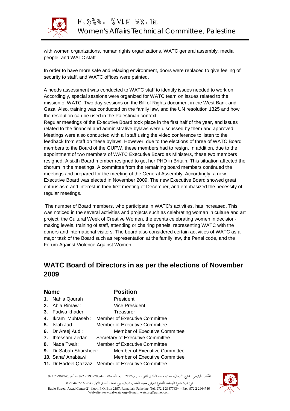

with women organizations, human rights organizations, WATC general assembly, media people, and WATC staff.

In order to have more safe and relaxing environment, doors were replaced to give feeling of security to staff, and WATC offices were painted.

A needs assessment was conducted to WATC staff to identify issues needed to work on. Accordingly, special sessions were organized for WATC team on issues related to the mission of WATC. Two day sessions on the Bill of Rights document in the West Bank and Gaza. Also, training was conducted on the family law, and the UN resolution 1325 and how the resolution can be used in the Palestinian context.

Regular meetings of the Executive Board took place in the first half of the year, and issues related to the financial and administrative bylaws were discussed by them and approved. Meetings were also conducted with all staff using the video conference to listen to the feedback from staff on these bylaws. However, due to the elections of three of WATC Board members to the Board of the GUPW, these members had to resign. In addition, due to the appointment of two members of WATC Executive Board as Ministers, these two members resigned. A sixth Board member resigned to get her PHD in Britain. This situation affected the chorum in the meetings. A committee from the remaining board members continued the meetings and prepared for the meeting of the General Assembly. Accordingly, a new Executive Board was elected in November 2009. The new Executive Board showed great enthusiasm and interest in their first meeting of December, and emphasized the necessity of regular meetings.

The number of Board members, who participate in WATC's activities, has increased. This was noticed in the several activities and projects such as celebrating woman in culture and art project, the Cultural Week of Creative Women, the events celebrating women in decisionmaking levels, training of staff, attending or chairing panels, representing WATC with the donors and international visitors. The board also considered certain activities of WATC as a major task of the Board such as representation at the family law, the Penal code, and the Forum Against Violence Against Women.

# **WATC Board of Directors in as per the elections of November 2009**

| <b>Name</b> |                               | <b>Position</b>                                     |
|-------------|-------------------------------|-----------------------------------------------------|
|             | 1. Nahla Qourah               | President                                           |
|             | 2. Abla Rimawi:               | Vice President                                      |
|             | <b>3.</b> Fadwa khader        | Treasurer                                           |
|             |                               | 4. Ikram Muhtaseb: Member of Executive Committee    |
|             | 5. Islah Jad:                 | Member of Executive Committee                       |
|             | 6. Dr Areej Audi:             | <b>Member of Executive Committee</b>                |
|             | <b>7.</b> Ibtessam Zedan:     | Secretary of Executive Committee                    |
|             |                               | Member of Executive Committee                       |
|             | <b>9.</b> Dr Sabah Sharsheer: | <b>Member of Executive Committee</b>                |
|             | <b>10.</b> Sana' Anabtawi:    | <b>Member of Executive Committee</b>                |
|             |                               | 11. Dr Hadeel Qazzaz: Member of Executive Committee |

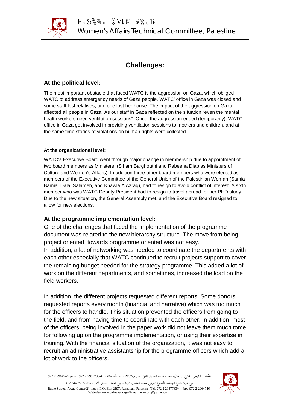

# **Challenges:**

## **At the political level:**

The most important obstacle that faced WATC is the aggression on Gaza, which obliged WATC to address emergency needs of Gaza people. WATC' office in Gaza was closed and some staff lost relatives, and one lost her house. The impact of the aggression on Gaza affected all people in Gaza. As our staff in Gaza reflected on the situation "even the mental health workers need ventilation sessions". Once, the aggression ended (temporarily), WATC office in Gaza got involved in providing ventilation sessions to mothers and children, and at the same time stories of violations on human rights were collected.

## **At the organizational level:**

WATC's Executive Board went through major change in membership due to appointment of two board members as Ministers, (Siham Barghouthi and Rabeeha Diab as Ministers of Culture and Women's Affairs). In addition three other board members who were elected as members of the Executive Committee of the General Union of the Palestinian Woman (Samia Bamia, Dalal Salameh, and Khawla AlAzraq), had to resign to avoid conflict of interest. A sixth member who was WATC Deputy President had to resign to travel abroad for her PHD study. Due to the new situation, the General Assembly met, and the Executive Board resigned to allow for new elections.

## **At the programme implementation level:**

One of the challenges that faced the implementation of the programme document was related to the new hierarchy structure. The move from being project oriented towards programme oriented was not easy. In addition, a lot of networking was needed to coordinate the departments with each other especially that WATC continued to recruit projects support to cover the remaining budget needed for the strategy programme. This added a lot of work on the different departments, and sometimes, increased the load on the field workers.

In addition, the different projects requested different reports. Some donors requested reports every month (financial and narrative) which was too much for the officers to handle. This situation prevented the officers from going to the field, and from having time to coordinate with each other. In addition, most of the officers, being involved in the paper work did not leave them much tome for following up on the programme implementation, or using their expertise in training. With the financial situation of the organization, it was not easy to recruit an administrative assistantship for the programme officers which add a lot of work to the officers.

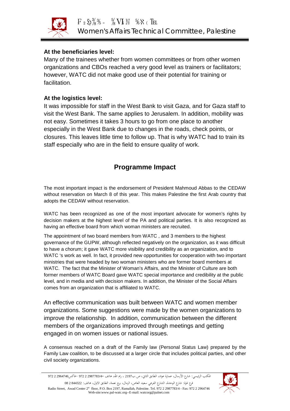

## **At the beneficiaries level:**

Many of the trainees whether from women committees or from other women organizations and CBOs reached a very good level as trainers or facilitators; however, WATC did not make good use of their potential for training or facilitation.

## **At the logistics level:**

It was impossible for staff in the West Bank to visit Gaza, and for Gaza staff to visit the West Bank. The same applies to Jerusalem. In addition, mobility was not easy. Sometimes it takes 3 hours to go from one place to another especially in the West Bank due to changes in the roads, check points, or closures. This leaves little time to follow up. That is why WATC had to train its staff especially who are in the field to ensure quality of work.

## **Programme Impact**

The most important impact is the endorsement of President Mahmoud Abbas to the CEDAW without reservation on March 8 of this year. This makes Palestine the first Arab country that adopts the CEDAW without reservation.

WATC has been recognized as one of the most important advocate for women's rights by decision makers at the highest level of the PA and political parties. It is also recognized as having an effective board from which woman ministers are recruited.

The appointment of two board members from WATC , and 3 members to the highest governance of the GUPW, although reflected negatively on the organization, as it was difficult to have a chorum; it gave WATC more visibility and credibility as an organization, and to WATC 's work as well. In fact, it provided new opportunities for cooperation with two important ministries that were headed by two woman ministers who are former board members at WATC. The fact that the Minister of Woman's Affairs, and the Minister of Culture are both former members of WATC Board gave WATC special importance and credibility at the public level, and in media and with decision makers. In addition, the Minister of the Social Affairs comes from an organization that is affiliated to WATC.

An effective communication was built between WATC and women member organizations. Some suggestions were made by the women organizations to improve the relationship. In addition, communication between the different members of the organizations improved through meetings and getting engaged in on women issues or national issues.

A consensus reached on a draft of the Family law (Personal Status Law) prepared by the Family Law coalition, to be discussed at a larger circle that includes political parties, and other civil society organizations.

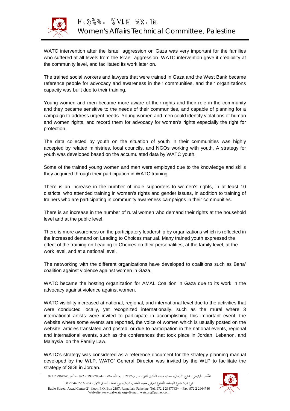

WATC intervention after the Israeli aggression on Gaza was very important for the families who suffered at all levels from the Israeli aggression. WATC intervention gave it credibility at the community level, and facilitated its work later on.

The trained social workers and lawyers that were trained in Gaza and the West Bank became reference people for advocacy and awareness in their communities, and their organizations capacity was built due to their training.

Young women and men became more aware of their rights and their role in the community and they became sensitive to the needs of their communities, and capable of planning for a campaign to address urgent needs. Young women and men could identify violations of human and women rights, and record them for advocacy for women's rights especially the right for protection.

The data collected by youth on the situation of youth in their communities was highly accepted by related ministries, local councils, and NGOs working with youth. A strategy for youth was developed based on the accumulated data by WATC youth.

Some of the trained young women and men were employed due to the knowledge and skills they acquired through their participation in WATC training.

There is an increase in the number of male supporters to women's rights, in at least 10 districts, who attended training in women's rights and gender issues, in addition to training of trainers who are participating in community awareness campaigns in their communities.

There is an increase in the number of rural women who demand their rights at the household level and at the public level.

There is more awareness on the participatory leadership by organizations which is reflected in the increased demand on Leading to Choices manual. Many trained youth expressed the effect of the training on Leading to Choices on their personalities, at the family level, at the work level, and at a national level.

The networking with the different organizations have developed to coalitions such as Bena' coalition against violence against women in Gaza.

WATC became the hosting organization for AMAL Coalition in Gaza due to its work in the advocacy against violence against women.

WATC visibility increased at national, regional, and international level due to the activities that were conducted locally, yet recognized internationally, such as the mural where 3 international artists were invited to participate in accomplishing this important event, the website where some events are reported, the voice of women which is usually posted on the website, articles translated and posted, or due to participation in the national events, regional and international events, such as the conferences that took place in Jordan, Lebanon, and Malaysia on the Family Law.

WATC's strategy was considered as a reference document for the strategy planning manual developed by the WLP. WATC' General Director was invited by the WLP to facilitate the strategy of SIGI in Jordan.

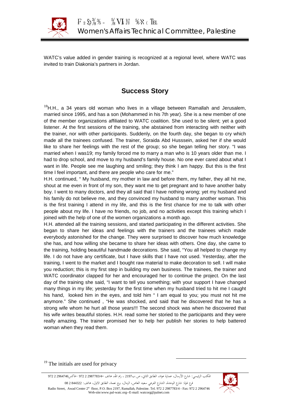

WATC's value added in gender training is recognized at a regional level, where WATC was invited to train Diakonia's partners in Jordan.

## **Success Story**

<sup>19</sup>H.H., a 34 years old woman who lives in a village between Ramallah and Jerusalem, married since 1995, and has a son (Mohammed in his 7th year). She is a new member of one of the member organizations affiliated to WATC coalition. She used to be silent; yet a good listener. At the first sessions of the training, she abstained from interacting with neither with the trainer, nor with other participants. Suddenly, on the fourth day, she began to cry which made all the trainees confused. The trainer, Soraida Abd Husssein, asked her if she would like to share her feelings with the rest of the group; so she began telling her story. "I was married when I was19; my family forced me to marry a man who is 10 years older than me. I had to drop school, and move to my husband's family house. No one ever cared about what I want in life. People see me laughing and smiling; they think I am happy. But this is the first time I feel important, and there are people who care for me."

H.H. continued, " My husband, my mother in law and before them, my father, they all hit me, shout at me even in front of my son, they want me to get pregnant and to have another baby boy. I went to many doctors, and they all said that I have nothing wrong; yet my husband and his family do not believe me, and they convinced my husband to marry another woman. This is the first training I attend in my life, and this is the first chance for me to talk with other people about my life. I have no friends, no job, and no activities except this training which I joined with the help of one of the women organizations a month ago.

H.H. attended all the training sessions, and started participating in the different activities. She began to share her ideas and feelings with the trainers and the trainees which made everybody astonished for the change. They were surprised to discover how much knowledge she has, and how willing she became to share her ideas with others. One day, she came to the training, holding beautiful handmade decorations. She said, "You all helped to change my life. I do not have any certificate, but I have skills that I have not used. Yesterday, after the training, I went to the market and I bought raw material to make decoration to sell. I will make you reduction; this is my first step in building my own business. The trainees, the trainer and WATC coordinator clapped for her and encouraged her to continue the project. On the last day of the training she said, "I want to tell you something; with your support I have changed many things in my life; yesterday for the first time when my husband tried to hit me I caught his hand, looked him in the eyes, and told him " I am equal to you; you must not hit me anymore." She continued , "He was shocked, and said that he discovered that he has a strong wife whom he hurt all those years!!! The second shock was when he discovered that his wife writes beautiful stories. H.H. read some her storied to the participants and they were really amazing. The trainer promised her to help her publish her stories to help battered woman when they read them.

The initials are used for privacy

المكتب الرئيسي: شارع الأرسال، عمارة عواد، الطابق الثاني، ص.ب<sup>2197</sup> ، رام االله، هاتف 2987783/4- 2 972 -فاكس2964746 2 972

فرع غزة: شارع الوحدة، الشارع الفرعي سعيد العاص، الرمال، برج نعمة، الطابق الاول، هاتف: 844322 2 08 Radio Street, Awad Center 2st floor, P.O. Box 2197, Ramallah, Palestine. Tel. 972 2 2987783/4 - Fax: 972 2 2964746 Web-site:www.pal-watc.org--E-mail: watcorg@palnet.com

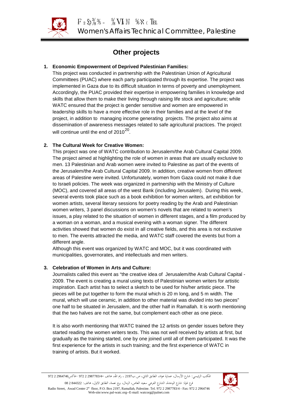

# **Other projects**

## **1. Economic Empowerment of Deprived Palestinian Families:**

This project was conducted in partnership with the Palestinian Union of Agricultural Committees (PUAC) where each party participated through its expertise. The project was implemented in Gaza due to its difficult situation in terms of poverty and unemployment. Accordingly, the PUAC provided their expertise in empowering families in knowledge and skills that allow them to make their living through raising life stock and agriculture; while WATC ensured that the project is gender sensitive and women are empowered in leadership skills to have a more effective role in their families and at the level of the project, in addition to managing income generating projects. The project also aims at dissemination of awareness messages related to safe agricultural practices. The project will continue until the end of 2010<sup>20</sup>.

## **2. The Cultural Week for Creative Women:**

This project was one of WATC contribution to Jerusalem/the Arab Cultural Capital 2009. The project aimed at highlighting the role of women in areas that are usually exclusive to men. 13 Palestinian and Arab women were invited to Palestine as part of the events of the Jerusalem/the Arab Cultural Capital 2009. In addition, creative women from different areas of Palestine were invited. Unfortunately, women from Gaza could not make it due to Israeli policies. The week was organized in partnership with the Ministry of Culture (MOC), and covered all areas of the west Bank (including Jerusalem). During this week, several events took place such as a book exhibition for women writers, art exhibition for women artists, several literary sessions for poetry reading by the Arab and Palestinian women writers, 3 panel discussions on women's novels that are related to women's issues, a play related to the situation of women in different stages, and a film produced by a woman on a woman, and a musical evening with a woman signer. The different activities showed that women do exist in all creative fields, and this area is not exclusive to men. The events attracted the media, and WATC staff covered the events but from a different angle.

Although this event was organized by WATC and MOC, but it was coordinated with municipalities, governorates, and intellectuals and men writers.

## **3. Celebration of Women in Arts and Culture:**

Journalists called this event as "the creative idea of Jerusalem/the Arab Cultural Capital - 2009. The event is creating a mural using texts of Palestinian women writers for artistic inspiration. Each artist has to select a sketch to be used for his/her artistic piece. The pieces will be put together to form the mural which is 20 m long, and 5 m width. The mural, which will use ceramic, in addition to other material was divided into two pieces" one half to be situated in Jerusalem, and the other half in Ramallah. It is worth mentioning that the two halves are not the same, but complement each other as one piece.

It is also worth mentioning that WATC trained the 12 artists on gender issues before they started reading the women writers texts. This was not well received by artists at first, but gradually as the training started, one by one joined until all of them participated. It was the first experience for the artists in such training; and the first experience of WATC in training of artists. But it worked.

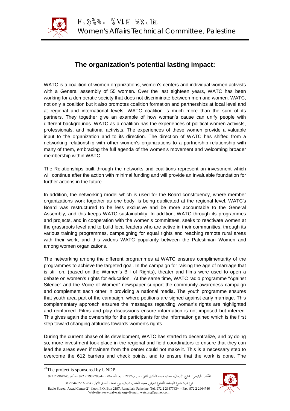

# **The organization's potential lasting impact:**

WATC is a coalition of women organizations, women's centers and individual women activists with a General assembly of 55 women. Over the last eighteen years, WATC has been working for a democratic society that does not discriminate between men and women. WATC, not only a coalition but it also promotes coalition formation and partnerships at local level and at regional and international levels. WATC coalition is much more than the sum of its partners. They together give an example of how woman's cause can unify people with different backgrounds. WATC as a coalition has the experiences of political women activists, professionals, and national activists. The experiences of these women provide a valuable input to the organization and to its direction. The direction of WATC has shifted from a networking relationship with other women's organizations to a partnership relationship with many of them, embracing the full agenda of the women's movement and welcoming broader membership within WATC.

The Relationships built through the networks and coalitions represent an investment which will continue after the action with minimal funding and will provide an invaluable foundation for further actions in the future.

In addition, the networking model which is used for the Board constituency, where member organizations work together as one body, is being duplicated at the regional level. WATC's Board was restructured to be less exclusive and be more accountable to the General Assembly, and this keeps WATC sustainability. In addition, WATC through its programmes and projects, and in cooperation with the women's committees, seeks to reactivate women at the grassroots level and to build local leaders who are active in their communities, through its various training programmes, campaigning for equal rights and reaching remote rural areas with their work, and this widens WATC popularity between the Palestinian Women and among women organizations.

The networking among the different programmes at WATC ensures complimentarity of the programmes to achieve the targeted goal. In the campaign for raising the age of marriage that is still on, (based on the Women's Bill of Rights), theater and films were used to open a debate on women's rights for education. At the same time, WATC radio programme "Against Silence" and the Voice of Women" newspaper support the community awareness campaign and complement each other in providing a national media. The youth programme ensures that youth area part of the campaign, where petitions are signed against early marriage. This complementary approach ensures the messages regarding woman's rights are highlighted and reinforced. Films and play discussions ensure information is not imposed but inferred. This gives again the ownership for the participants for the information gained which is the first step toward changing attitudes towards women's rights.

During the current phase of its development, WATC has started to decentralize, and by doing so, more investment took place in the regional and field coordinators to ensure that they can lead the areas even if trainers from the center could not make it. This is a necessary step to overcome the 612 barriers and check points, and to ensure that the work is done. The

المكتب الرئيسي: شارع الأرسال، عمارة عواد، الطابق الثاني، ص.ب<sup>2197</sup> ، رام االله، هاتف 2987783/4- 2 972 -فاكس2964746 2 972

فرع غزة: شارع الوحدة، الشارع الفرعي سعيد العاص، الرمال، برج نعمة، الطابق الاول، هاتف: 844322 2 08 Radio Street, Awad Center 2<sup>st</sup> floor, P.O. Box 2197, Ramallah, Palestine. Tel. 972 2 2987783/4 - Fax: 972 2 2964746 Web-site:www.pal-watc.org--E-mail: watcorg@palnet.com



<sup>&</sup>lt;sup>20</sup>The project is sponsored by UNDP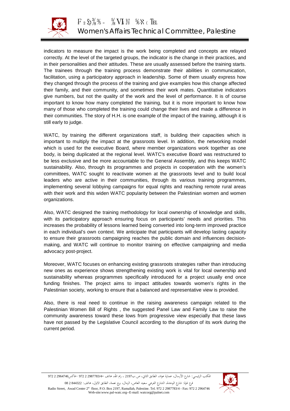

indicators to measure the impact is the work being completed and concepts are relayed correctly. At the level of the targeted groups, the indicator is the change in their practices, and in their personalities and their attitudes. These are usually assessed before the training starts. The trainees through the training process demonstrate their abilities in communication, facilitation, using a participatory approach in leadership. Some of them usually express how they changed through the process of the training and give examples how this change affected their family, and their community, and sometimes their work mates. Quantitative indicators give numbers, but not the quality of the work and the level of performance. It is of course important to know how many completed the training, but it is more important to know how many of those who completed the training could change their lives and made a difference in their communities. The story of H.H. is one example of the impact of the training, although it is still early to judge.

WATC, by training the different organizations staff, is building their capacities which is important to multiply the impact at the grassroots level. In addition, the networking model which is used for the executive Board, where member organizations work together as one body, is being duplicated at the regional level. WATC's executive Board was restructured to be less exclusive and be more accountable to the General Assembly, and this keeps WATC sustainability. Also, through its programmes and projects in cooperation with the women's committees, WATC sought to reactivate women at the grassroots level and to build local leaders who are active in their communities, through its various training programmes, implementing several lobbying campaigns for equal rights and reaching remote rural areas with their work and this widen WATC popularity between the Palestinian women and women organizations.

Also, WATC designed the training methodology for local ownership of knowledge and skills, with its participatory approach ensuring focus on participants' needs and priorities. This increases the probability of lessons learned being converted into long-term improved practice in each individual's own context. We anticipate that participants will develop lasting capacity to ensure their grassroots campaigning reaches the public domain and influences decisionmaking, and WATC will continue to monitor training on effective campaigning and media advocacy post-project.

Moreover, WATC focuses on enhancing existing grassroots strategies rather than introducing new ones as experience shows strengthening existing work is vital for local ownership and sustainability whereas programmes specifically introduced for a project usually end once funding finishes. The project aims to impact attitudes towards women's rights in the Palestinian society, working to ensure that a balanced and representative view is provided.

Also, there is real need to continue in the raising awareness campaign related to the Palestinian Women Bill of Rights , the suggested Panel Law and Family Law to raise the community awareness toward these lows from progressive view especially that these laws have not passed by the Legislative Council according to the disruption of its work during the current period.

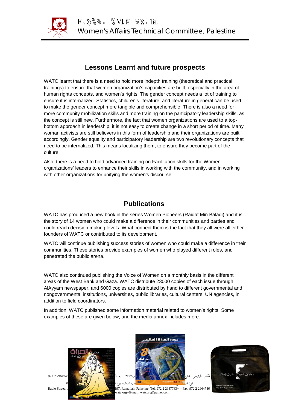

# **Lessons Learnt and future prospects**

WATC learnt that there is a need to hold more indepth training (theoretical and practical trainings) to ensure that women organization's capacities are built, especially in the area of human rights concepts, and women's rights. The gender concept needs a lot of training to ensure it is internalized. Statistics, children's literature, and literature in general can be used to make the gender concept more tangible and comprehensible. There is also a need for more community mobilization skills and more training on the participatory leadership skills, as the concept is still new. Furthermore, the fact that women organizations are used to a topbottom approach in leadership, it is not easy to create change in a short period of time. Many woman activists are still believers in this form of leadership and their organizations are built accordingly. Gender equality and participatory leadership are two revolutionary concepts that need to be internalized. This means localizing them, to ensure they become part of the culture.

Also, there is a need to hold advanced training on Facilitation skills for the Women organizations' leaders to enhance their skills in working with the community, and in working with other organizations for unifying the women's discourse.

## **Publications**

WATC has produced a new book in the series Women Pioneers (Raidat Min Baladi) and it is the story of 14 women who could make a difference in their communities and parties and could reach decision making levels. What connect them is the fact that they all were all either founders of WATC or contributed to its development.

WATC will continue publishing success stories of women who could make a difference in their communities. These stories provide examples of women who played different roles, and penetrated the public arena.

WATC also continued publishing the Voice of Women on a monthly basis in the different areas of the West Bank and Gaza. WATC distribute 23000 copies of each issue through AlAyyam newspaper, and 6000 copies are distributed by hand to different governmental and nongovernmental institutions, universities, public libraries, cultural centers, UN agencies, in addition to field coordinators.

In addition, WATC published some information material related to women's rights. Some examples of these are given below, and the media annex includes more.









Radio Street, Awad Center 2st Floor, P.O. Box 2197, Ramallah, Palestine. Tel. 972 2 2987783/4 - Fax: 972 2 2964746 atc.org--E-mail: watcorg@palnet.com

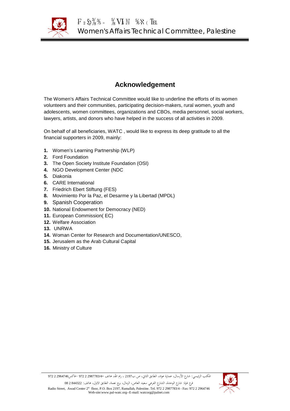

# **Acknowledgement**

The Women's Affairs Technical Committee would like to underline the efforts of its women volunteers and their communities, participating decision-makers, rural women, youth and adolescents, women committees, organizations and CBOs, media personnel, social workers, lawyers, artists, and donors who have helped in the success of all activities in 2009.

On behalf of all beneficiaries, WATC , would like to express its deep gratitude to all the financial supporters in 2009, mainly:

- **1.** Women's Learning Partnership (WLP)
- **2.** Ford Foundation
- **3.** The Open Society Institute Foundation (OSI)
- **4.** NGO Development Center (NDC
- **5.** Diakonia
- **6.** CARE International
- **7.** Friedrich Ebert Stiftung (FES)
- **8.** Movimiento Por la Paz, el Desarme y la Libertad (MPDL)
- **9.** Spanish Cooperation
- **10.** National Endowment for Democracy (NED)
- **11.** European Commission( EC)
- **12.** Welfare Association
- **13.** UNRWA
- **14.** Woman Center for Research and Documentation/UNESCO,
- **15.** Jerusalem as the Arab Cultural Capital
- **16.** Ministry of Culture



المكتب الرئيسي: شارع الأرسال، عمارة عواد، الطابق الثاني، ص.ب<sup>2197</sup> ، رام االله، هاتف 2987783/4- 2 972 -فاكس2964746 2 972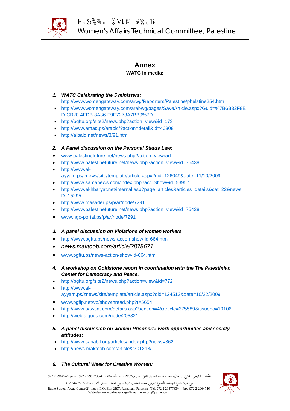

## **Annex**

## **WATC in media:**

## *1. WATC Celebrating the 5 ministers:*

<http://www.womengateway.com/arwg/Reporters/Palestine/phelstine254.htm>

- [http://www.womengateway.com/arabwg/pages/SaveArticle.aspx?Guid=%7B6B32F8E](http://www.womengateway.com/arabwg/pages/SaveArticle.aspx?Guid=%7B6B32F8ED-CB20-4FDB-8A36-F9E7273A7BB9%7D) [D-CB20-4FDB-8A36-F9E7273A7BB9%7D](http://www.womengateway.com/arabwg/pages/SaveArticle.aspx?Guid=%7B6B32F8ED-CB20-4FDB-8A36-F9E7273A7BB9%7D)
- <http://pgftu.org/site2/news.php?action=view&id=173>
- <http://www.amad.ps/arabic/?action=detail&id=40308>
- <http://albald.net/news/3/91.html>

## *2. A Panel discussion on the Personal Status Law:*

- [www.palestinefuture.net/news.php?action=view&id](http://www.palestinefuture.net/news.php?action=view&id)
- <http://www.palestinefuture.net/news.php?action=view&id=75438>
- [http://www.al](http://www.al-ayyam.ps/znews/site/template/article.aspx?did=126049&date=11/10/2009)[ayyam.ps/znews/site/template/article.aspx?did=126049&date=11/10/2009](http://www.al-ayyam.ps/znews/site/template/article.aspx?did=126049&date=11/10/2009)
- <http://www.samanews.com/index.php?act=Show&id=53957>
- [http://www.ekhbaryat.net/internal.asp?page=articles&articles=details&cat=23&newsI](http://www.ekhbaryat.net/internal.asp?page=articles&articles=details&cat=23&newsID=15295) [D=15295](http://www.ekhbaryat.net/internal.asp?page=articles&articles=details&cat=23&newsID=15295)
- <http://www.masader.ps/p/ar/node/7291>
- <http://www.palestinefuture.net/news.php?action=view&id=75438>
- [www.ngo-portal.ps/p/ar/node/7291](http://www.ngo-portal.ps/p/ar/node/7291)

## *3. A panel discussion on Violations of women workers*

- <http://www.pgftu.ps/news-action-show-id-664.htm>
- *news.maktoob.com/article/2878671*
- [www.pgftu.ps/news-action-show-id-664.htm](http://www.pgftu.ps/news-action-show-id-664.htm)
- *4. A workshop on Goldstone report in coordination with the The Palestinian Center for Democracy and Peace.*
- <http://pgftu.org/site2/news.php?action=view&id=772>
- [http://www.al](http://www.al-ayyam.ps/znews/site/template/article.aspx?did=124513&date=10/22/2009)[ayyam.ps/znews/site/template/article.aspx?did=124513&date=10/22/2009](http://www.al-ayyam.ps/znews/site/template/article.aspx?did=124513&date=10/22/2009)
- [www.pgflp.net/vb/showthread.php?t=5654](http://www.pgflp.net/vb/showthread.php?t=5654)
- <http://www.aawsat.com/details.asp?section=4&article=375589&issueno=10106>
- <http://web.alquds.com/node/205321>
- *5. A panel discussion on women Prisoners: work opportunities and society attitudes:*
- <http://www.sanabil.org/articles/index.php?news=362>
- <http://news.maktoob.com/article/2701213/>
- *6. The Cultural Week for Creative Women:*

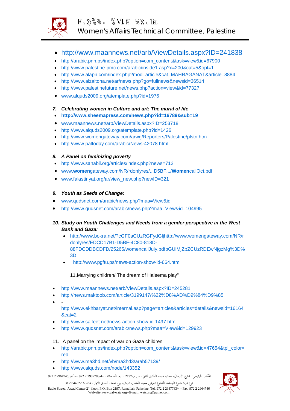

- <http://www.maannews.net/arb/ViewDetails.aspx?ID=241838>
- [http://arabic.pnn.ps/index.php?option=com\\_content&task=view&id=67900](http://arabic.pnn.ps/index.php?option=com_content&task=view&id=67900)
- <http://www.palestine-pmc.com/arabic/inside1.asp?x=200&cat=5&opt=1>
- <http://www.alapn.com/index.php?mod=article&cat=MAHRAGANAT&article=8884>
- <http://www.alzaitona.net/ar/news.php?go=fullnews&newsid=36514>
- <http://www.palestinefuture.net/news.php?action=view&id=77327>
- [www.alquds2009.org/atemplate.php?id=1976](http://www.alquds2009.org/atemplate.php?id=1976)
- *7. Celebrating women in Culture and art: The mural of life*
- **<http://www.sheemapress.com/news.php?id=16789&sub=19>**
- [www.maannews.net/arb/ViewDetails.aspx?ID=253718](http://www.maannews.net/arb/ViewDetails.aspx?ID=253718)
- <http://www.alquds2009.org/atemplate.php?id=1426>
- <http://www.womengateway.com/arwg/Reporters/Palestine/plstn.htm>
- <http://www.paltoday.com/arabic/News-42078.html>

## *8. A Panel on feminizing poverty*

- <http://www.sanabil.org/articles/index.php?news=712>
- www.**women**[gateway.com/NR/rdonlyres/...D5BF.../](http://www.womengateway.com/NR/rdonlyres/...D5BF.../WomencallOct.pdf)**Women**callOct.pdf
- [www.falastinyat.org/ar/view\\_new.php?newID=321](http://www.falastinyat.org/ar/view_new.php?newID=321)

## *9. Youth as Seeds of Change:*

- [www.qudsnet.com/arabic/news.php?maa=View&id](http://www.qudsnet.com/arabic/news.php?maa=View&id)
- <http://www.qudsnet.com/arabic/news.php?maa=View&id=104995>

## *10. Study on Youth Challenges and Needs from a gender perspective in the West Bank and Gaza:*

- [http://www.bokra.net/?cGF0aCUzRGFydGljhttp://www.womengateway.com/NR/r](http://www.bokra.net/?cGF0aCUzRGFydGljbGUlMjZpZCUzRDEwNjgzMg%3D%3D) [donlyres/EDCD17B1-D5BF-4C80-818D-](http://www.bokra.net/?cGF0aCUzRGFydGljbGUlMjZpZCUzRDEwNjgzMg%3D%3D)[88FDCDDBCDFD/25265/womencallJuly.pdfbGUlMjZpZCUzRDEwNjgzMg%3D%](http://www.bokra.net/?cGF0aCUzRGFydGljbGUlMjZpZCUzRDEwNjgzMg%3D%3D) [3D](http://www.bokra.net/?cGF0aCUzRGFydGljbGUlMjZpZCUzRDEwNjgzMg%3D%3D)
- **[ا](http://www.pgftu.ps/news-action-show-id-664.htm)** <http://www.pgftu.ps/news-action-show-id-664.htm>

## 11.Marrying children/ The dream of Haleema play"

- <http://www.maannews.net/arb/ViewDetails.aspx?ID=245281>
- <http://news.maktoob.com/article/3199147/%22%D8%AD%D9%84%D9%85>
- -

[http://www.ekhbaryat.net/internal.asp?page=articles&articles=details&newsid=16164](http://www.ekhbaryat.net/internal.asp?page=articles&articles=details&newsid=16164&cat=2) [&cat=2](http://www.ekhbaryat.net/internal.asp?page=articles&articles=details&newsid=16164&cat=2)

- <http://www.salfeet.net/news-action-show-id-1497.htm>
- <http://www.qudsnet.com/arabic/news.php?maa=View&id=129923>

## 11. A panel on the impact of war on Gaza children

- [http://arabic.pnn.ps/index.php?option=com\\_content&task=view&id=47654&tpl\\_color=](http://arabic.pnn.ps/index.php?option=com_content&task=view&id=47654&tpl_color=red) [red](http://arabic.pnn.ps/index.php?option=com_content&task=view&id=47654&tpl_color=red)
- <http://www.ma3hd.net/vb/ma3hd3/arab57139/>
- <http://www.alquds.com/node/143352>

فرع غزة: شارع الوحدة، الشارع الفرعي سعيد العاص، الرمال، برج نعمة، الطابق الاول، هاتف: 844322 2 08 Radio Street, Awad Center 2st floor, P.O. Box 2197, Ramallah, Palestine. Tel. 972 2 2987783/4 - Fax: 972 2 2964746 Web-site:www.pal-watc.org--E-mail: watcorg@palnet.com